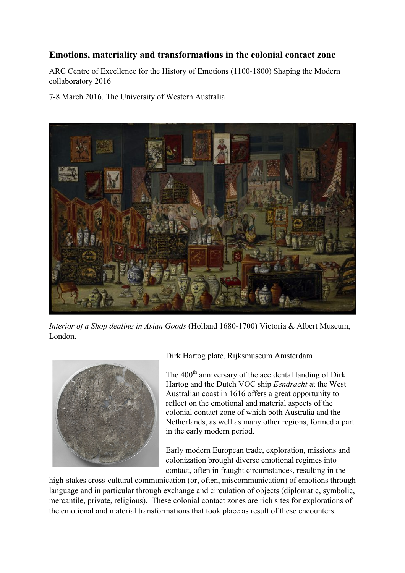## **Emotions, materiality and transformations in the colonial contact zone**

ARC Centre of Excellence for the History of Emotions (1100-1800) Shaping the Modern collaboratory 2016

7-8 March 2016, The University of Western Australia



*Interior of a Shop dealing in Asian Goods* (Holland 1680-1700) Victoria & Albert Museum, London.



Dirk Hartog plate, Rijksmuseum Amsterdam

The 400<sup>th</sup> anniversary of the accidental landing of Dirk Hartog and the Dutch VOC ship *Eendracht* at the West Australian coast in 1616 offers a great opportunity to reflect on the emotional and material aspects of the colonial contact zone of which both Australia and the Netherlands, as well as many other regions, formed a part in the early modern period.

Early modern European trade, exploration, missions and colonization brought diverse emotional regimes into contact, often in fraught circumstances, resulting in the

high-stakes cross-cultural communication (or, often, miscommunication) of emotions through language and in particular through exchange and circulation of objects (diplomatic, symbolic, mercantile, private, religious). These colonial contact zones are rich sites for explorations of the emotional and material transformations that took place as result of these encounters.